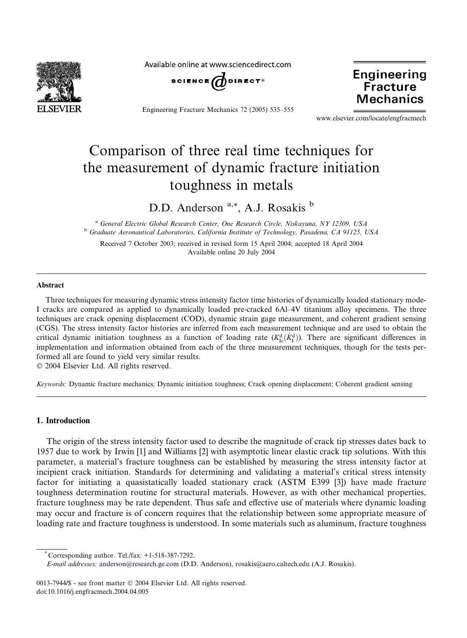

Available online at www.sciencedirect.com



Engineering Fracture Mechanics 72 (2005) 535–555

**Engineering Fracture Mechanics** 

www.elsevier.com/locate/engfracmech

# Comparison of three real time techniques for the measurement of dynamic fracture initiation toughness in metals

D.D. Anderson<sup>a,\*</sup>, A.J. Rosakis<sup>b</sup>

<sup>a</sup> General Electric Global Research Center, One Research Circle, Niskayuna, NY 12309, USA <sup>b</sup> Graduate Aeronautical Laboratories, California Institute of Technology, Pasadena, CA 91125, USA

Received 7 October 2003; received in revised form 15 April 2004; accepted 18 April 2004 Available online 20 July 2004

#### Abstract

Three techniques for measuring dynamic stress intensity factor time histories of dynamically loaded stationary mode-I cracks are compared as applied to dynamically loaded pre-cracked 6Al–4V titanium alloy specimens. The three techniques are crack opening displacement (COD), dynamic strain gage measurement, and coherent gradient sensing (CGS). The stress intensity factor histories are inferred from each measurement technique and are used to obtain the critical dynamic initiation toughness as a function of loading rate  $(K^d_{lc}(\dot{K}^d_l))$ . There are significant differences in implementation and information obtained from each of the three measurement techniques, though for the tests performed all are found to yield very similar results.

2004 Elsevier Ltd. All rights reserved.

Keywords: Dynamic fracture mechanics; Dynamic initiation toughness; Crack opening displacement; Coherent gradient sensing

## 1. Introduction

The origin of the stress intensity factor used to describe the magnitude of crack tip stresses dates back to 1957 due to work by Irwin [1] and Williams [2] with asymptotic linear elastic crack tip solutions. With this parameter, a material's fracture toughness can be established by measuring the stress intensity factor at incipient crack initiation. Standards for determining and validating a material's critical stress intensity factor for initiating a quasistatically loaded stationary crack (ASTM E399 [3]) have made fracture toughness determination routine for structural materials. However, as with other mechanical properties, fracture toughness may be rate dependent. Thus safe and effective use of materials where dynamic loading may occur and fracture is of concern requires that the relationship between some appropriate measure of loading rate and fracture toughness is understood. In some materials such as aluminum, fracture toughness

Corresponding author. Tel./fax:  $+1-518-387-7292$ .

E-mail addresses: [anderson@research.ge.com](mail to: anderson@research.ge.com) (D.D. Anderson), rosakis@aero.caltech.edu (A.J. Rosakis).

<sup>0013-7944/\$ -</sup> see front matter © 2004 Elsevier Ltd. All rights reserved. doi:10.1016/j.engfracmech.2004.04.005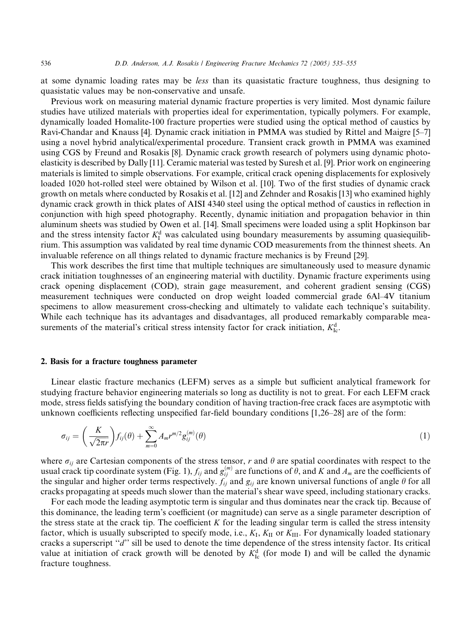at some dynamic loading rates may be less than its quasistatic fracture toughness, thus designing to quasistatic values may be non-conservative and unsafe.

Previous work on measuring material dynamic fracture properties is very limited. Most dynamic failure studies have utilized materials with properties ideal for experimentation, typically polymers. For example, dynamically loaded Homalite-100 fracture properties were studied using the optical method of caustics by Ravi-Chandar and Knauss [4]. Dynamic crack initiation in PMMA was studied by Rittel and Maigre [5–7] using a novel hybrid analytical/experimental procedure. Transient crack growth in PMMA was examined using CGS by Freund and Rosakis [8]. Dynamic crack growth research of polymers using dynamic photoelasticity is described by Dally [11]. Ceramic material was tested by Suresh et al. [9]. Prior work on engineering materials is limited to simple observations. For example, critical crack opening displacements for explosively loaded 1020 hot-rolled steel were obtained by Wilson et al. [10]. Two of the first studies of dynamic crack growth on metals where conducted by Rosakis et al. [12] and Zehnder and Rosakis [13] who examined highly dynamic crack growth in thick plates of AISI 4340 steel using the optical method of caustics in reflection in conjunction with high speed photography. Recently, dynamic initiation and propagation behavior in thin aluminum sheets was studied by Owen et al. [14]. Small specimens were loaded using a split Hopkinson bar and the stress intensity factor  $K_I^d$  was calculated using boundary measurements by assuming quasiequilibrium. This assumption was validated by real time dynamic COD measurements from the thinnest sheets. An invaluable reference on all things related to dynamic fracture mechanics is by Freund [29].

This work describes the first time that multiple techniques are simultaneously used to measure dynamic crack initiation toughnesses of an engineering material with ductility. Dynamic fracture experiments using crack opening displacement (COD), strain gage measurement, and coherent gradient sensing (CGS) measurement techniques were conducted on drop weight loaded commercial grade 6Al–4V titanium specimens to allow measurement cross-checking and ultimately to validate each technique's suitability. While each technique has its advantages and disadvantages, all produced remarkably comparable measurements of the material's critical stress intensity factor for crack initiation,  $K^d_{\text{Ic}}$ .

#### 2. Basis for a fracture toughness parameter

Linear elastic fracture mechanics (LEFM) serves as a simple but sufficient analytical framework for studying fracture behavior engineering materials so long as ductility is not to great. For each LEFM crack mode, stress fields satisfying the boundary condition of having traction-free crack faces are asymptotic with unknown coefficients reflecting unspecified far-field boundary conditions [1,26–28] are of the form:

$$
\sigma_{ij} = \left(\frac{K}{\sqrt{2\pi r}}\right) f_{ij}(\theta) + \sum_{m=0}^{\infty} A_m r^{m/2} g_{ij}^{(m)}(\theta)
$$
\n(1)

where  $\sigma_{ij}$  are Cartesian components of the stress tensor, r and  $\theta$  are spatial coordinates with respect to the usual crack tip coordinate system (Fig. 1),  $f_{ij}$  and  $g_{ij}^{(m)}$  are functions of  $\hat{\theta}$ , and K and  $A_m$  are the coefficients of the singular and higher order terms respectively.  $f_{ij}$  and  $g_{ij}$  are known universal functions of angle  $\theta$  for all cracks propagating at speeds much slower than the material's shear wave speed, including stationary cracks.

For each mode the leading asymptotic term is singular and thus dominates near the crack tip. Because of this dominance, the leading term's coefficient (or magnitude) can serve as a single parameter description of the stress state at the crack tip. The coefficient  $K$  for the leading singular term is called the stress intensity factor, which is usually subscripted to specify mode, i.e.,  $K_I$ ,  $K_{II}$  or  $K_{III}$ . For dynamically loaded stationary cracks a superscript "d" sill be used to denote the time dependence of the stress intensity factor. Its critical value at initiation of crack growth will be denoted by  $K_{\text{lc}}^{\text{d}}$  (for mode I) and will be called the dynamic fracture toughness.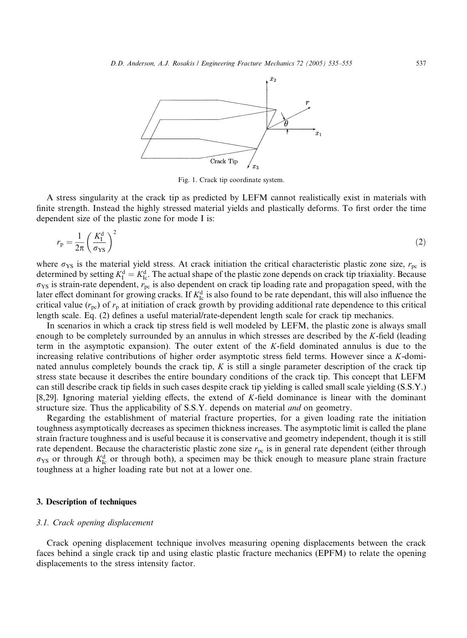

Fig. 1. Crack tip coordinate system.

A stress singularity at the crack tip as predicted by LEFM cannot realistically exist in materials with finite strength. Instead the highly stressed material yields and plastically deforms. To first order the time dependent size of the plastic zone for mode I is:

$$
r_{\rm p} = \frac{1}{2\pi} \left(\frac{K_{\rm I}^{\rm d}}{\sigma_{\rm YS}}\right)^2 \tag{2}
$$

where  $\sigma_{YS}$  is the material yield stress. At crack initiation the critical characteristic plastic zone size,  $r_{\text{pc}}$  is determined by setting  $K_I^d = K_{Ic}^d$ . The actual shape of the plastic zone depends on crack tip triaxiality. Because  $\sigma_{YS}$  is strain-rate dependent,  $r_{pc}$  is also dependent on crack tip loading rate and propagation speed, with the later effect dominant for growing cracks. If  $K_{1c}^{d}$  is also found to be rate dependant, this will also influence the critical value  $(r_{pc})$  of  $r_p$  at initiation of crack growth by providing additional rate dependence to this critical length scale. Eq. (2) defines a useful material/rate-dependent length scale for crack tip mechanics.

In scenarios in which a crack tip stress field is well modeled by LEFM, the plastic zone is always small enough to be completely surrounded by an annulus in which stresses are described by the K-field (leading term in the asymptotic expansion). The outer extent of the K-field dominated annulus is due to the increasing relative contributions of higher order asymptotic stress field terms. However since a K-dominated annulus completely bounds the crack tip,  $K$  is still a single parameter description of the crack tip stress state because it describes the entire boundary conditions of the crack tip. This concept that LEFM can still describe crack tip fields in such cases despite crack tip yielding is called small scale yielding (S.S.Y.) [8,29]. Ignoring material yielding effects, the extend of K-field dominance is linear with the dominant structure size. Thus the applicability of S.S.Y. depends on material *and* on geometry.

Regarding the establishment of material fracture properties, for a given loading rate the initiation toughness asymptotically decreases as specimen thickness increases. The asymptotic limit is called the plane strain fracture toughness and is useful because it is conservative and geometry independent, though it is still rate dependent. Because the characteristic plastic zone size  $r_{pc}$  is in general rate dependent (either through  $\sigma_{YS}$  or through  $K_{Ic}^{d}$  or through both), a specimen may be thick enough to measure plane strain fracture toughness at a higher loading rate but not at a lower one.

## 3. Description of techniques

## 3.1. Crack opening displacement

Crack opening displacement technique involves measuring opening displacements between the crack faces behind a single crack tip and using elastic plastic fracture mechanics (EPFM) to relate the opening displacements to the stress intensity factor.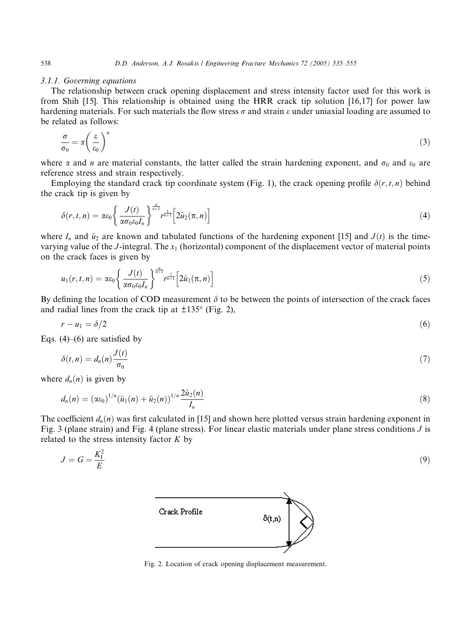# 3.1.1. Governing equations

The relationship between crack opening displacement and stress intensity factor used for this work is from Shih [15]. This relationship is obtained using the HRR crack tip solution [16,17] for power law hardening materials. For such materials the flow stress  $\sigma$  and strain  $\varepsilon$  under uniaxial loading are assumed to be related as follows:

$$
\frac{\sigma}{\sigma_0} = \alpha \left(\frac{\varepsilon}{\varepsilon_0}\right)^n \tag{3}
$$

where  $\alpha$  and *n* are material constants, the latter called the strain hardening exponent, and  $\sigma_0$  and  $\varepsilon_0$  are reference stress and strain respectively.

Employing the standard crack tip coordinate system (Fig. 1), the crack opening profile  $\delta(r, t, n)$  behind the crack tip is given by

$$
\delta(r,t,n) = \alpha \varepsilon_0 \left\{ \frac{J(t)}{\alpha \sigma_0 \varepsilon_0 I_n} \right\}^{\frac{n}{n+1}} r^{\frac{1}{n+1}} \left[ 2\tilde{u}_2(\pi,n) \right] \tag{4}
$$

where  $I_n$  and  $\tilde{u}_2$  are known and tabulated functions of the hardening exponent [15] and  $J(t)$  is the timevarying value of the J-integral. The  $x_1$  (horizontal) component of the displacement vector of material points on the crack faces is given by

$$
u_1(r,t,n) = \alpha \varepsilon_0 \left\{ \frac{J(t)}{\alpha \sigma_0 \varepsilon_0 I_n} \right\}^{\frac{n}{n+1}} r^{\frac{1}{n+1}} \left[ 2\tilde{u}_1(\pi,n) \right] \tag{5}
$$

By defining the location of COD measurement  $\delta$  to be between the points of intersection of the crack faces and radial lines from the crack tip at  $\pm 135^{\circ}$  (Fig. 2),

$$
r - u_1 = \delta/2 \tag{6}
$$

Eqs.  $(4)$ – $(6)$  are satisfied by

$$
\delta(t,n) = d_n(n) \frac{J(t)}{\sigma_0} \tag{7}
$$

where  $d_n(n)$  is given by

$$
d_n(n) = (\alpha \varepsilon_0)^{1/n} (\tilde{u}_1(n) + \tilde{u}_2(n))^{1/n} \frac{2 \tilde{u}_2(n)}{I_n}
$$
\n(8)

The coefficient  $d_n(n)$  was first calculated in [15] and shown here plotted versus strain hardening exponent in Fig. 3 (plane strain) and Fig. 4 (plane stress). For linear elastic materials under plane stress conditions J is related to the stress intensity factor  $K$  by

$$
J = G = \frac{K_1^2}{E} \tag{9}
$$



Fig. 2. Location of crack opening displacement measurement.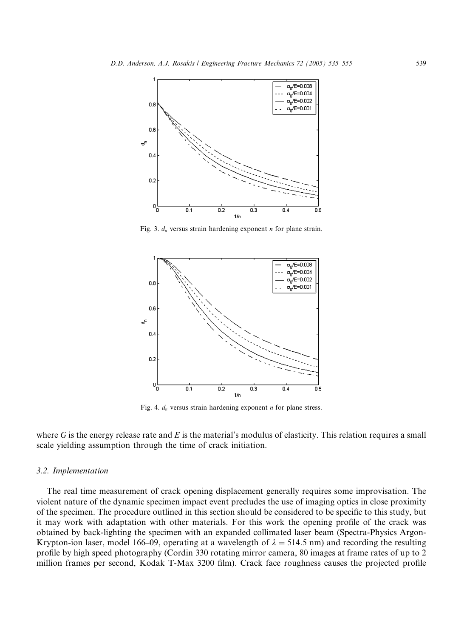

Fig. 3.  $d_n$  versus strain hardening exponent *n* for plane strain.



Fig. 4.  $d_n$  versus strain hardening exponent *n* for plane stress.

where G is the energy release rate and E is the material's modulus of elasticity. This relation requires a small scale yielding assumption through the time of crack initiation.

## 3.2. Implementation

The real time measurement of crack opening displacement generally requires some improvisation. The violent nature of the dynamic specimen impact event precludes the use of imaging optics in close proximity of the specimen. The procedure outlined in this section should be considered to be specific to this study, but it may work with adaptation with other materials. For this work the opening profile of the crack was obtained by back-lighting the specimen with an expanded collimated laser beam (Spectra-Physics Argon-Krypton-ion laser, model 166–09, operating at a wavelength of  $\lambda = 514.5$  nm) and recording the resulting profile by high speed photography (Cordin 330 rotating mirror camera, 80 images at frame rates of up to 2 million frames per second, Kodak T-Max 3200 film). Crack face roughness causes the projected profile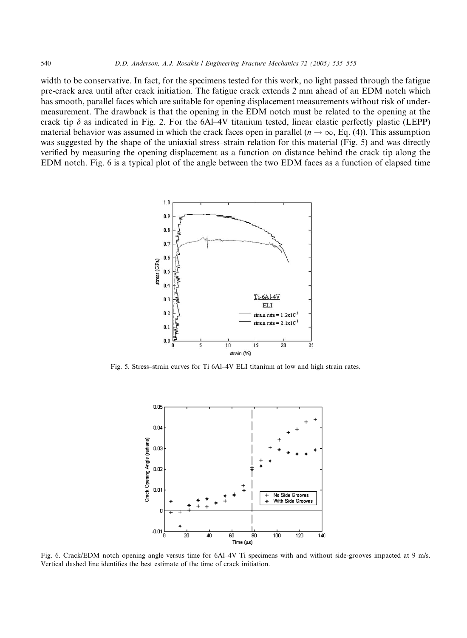width to be conservative. In fact, for the specimens tested for this work, no light passed through the fatigue pre-crack area until after crack initiation. The fatigue crack extends 2 mm ahead of an EDM notch which has smooth, parallel faces which are suitable for opening displacement measurements without risk of undermeasurement. The drawback is that the opening in the EDM notch must be related to the opening at the crack tip  $\delta$  as indicated in Fig. 2. For the 6Al–4V titanium tested, linear elastic perfectly plastic (LEPP) material behavior was assumed in which the crack faces open in parallel ( $n \to \infty$ , Eq. (4)). This assumption was suggested by the shape of the uniaxial stress–strain relation for this material (Fig. 5) and was directly verified by measuring the opening displacement as a function on distance behind the crack tip along the EDM notch. Fig. 6 is a typical plot of the angle between the two EDM faces as a function of elapsed time



Fig. 5. Stress–strain curves for Ti 6Al–4V ELI titanium at low and high strain rates.



Fig. 6. Crack/EDM notch opening angle versus time for 6Al–4V Ti specimens with and without side-grooves impacted at 9 m/s. Vertical dashed line identifies the best estimate of the time of crack initiation.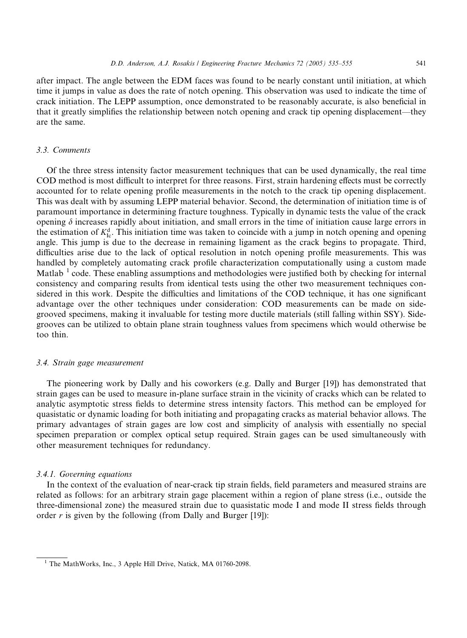that it greatly simplifies the relationship between notch opening and crack tip opening displacement––they

after impact. The angle between the EDM faces was found to be nearly constant until initiation, at which time it jumps in value as does the rate of notch opening. This observation was used to indicate the time of crack initiation. The LEPP assumption, once demonstrated to be reasonably accurate, is also beneficial in

#### 3.3. Comments

are the same.

Of the three stress intensity factor measurement techniques that can be used dynamically, the real time COD method is most difficult to interpret for three reasons. First, strain hardening effects must be correctly accounted for to relate opening profile measurements in the notch to the crack tip opening displacement. This was dealt with by assuming LEPP material behavior. Second, the determination of initiation time is of paramount importance in determining fracture toughness. Typically in dynamic tests the value of the crack opening  $\delta$  increases rapidly about initiation, and small errors in the time of initiation cause large errors in the estimation of  $K_{\text{lc}}^{\text{d}}$ . This initiation time was taken to coincide with a jump in notch opening and opening angle. This jump is due to the decrease in remaining ligament as the crack begins to propagate. Third, difficulties arise due to the lack of optical resolution in notch opening profile measurements. This was handled by completely automating crack profile characterization computationally using a custom made Matlab  $<sup>1</sup>$  code. These enabling assumptions and methodologies were justified both by checking for internal</sup> consistency and comparing results from identical tests using the other two measurement techniques considered in this work. Despite the difficulties and limitations of the COD technique, it has one significant advantage over the other techniques under consideration: COD measurements can be made on sidegrooved specimens, making it invaluable for testing more ductile materials (still falling within SSY). Sidegrooves can be utilized to obtain plane strain toughness values from specimens which would otherwise be too thin.

#### 3.4. Strain gage measurement

The pioneering work by Dally and his coworkers (e.g. Dally and Burger [19]) has demonstrated that strain gages can be used to measure in-plane surface strain in the vicinity of cracks which can be related to analytic asymptotic stress fields to determine stress intensity factors. This method can be employed for quasistatic or dynamic loading for both initiating and propagating cracks as material behavior allows. The primary advantages of strain gages are low cost and simplicity of analysis with essentially no special specimen preparation or complex optical setup required. Strain gages can be used simultaneously with other measurement techniques for redundancy.

### 3.4.1. Governing equations

In the context of the evaluation of near-crack tip strain fields, field parameters and measured strains are related as follows: for an arbitrary strain gage placement within a region of plane stress (i.e., outside the three-dimensional zone) the measured strain due to quasistatic mode I and mode II stress fields through order  $r$  is given by the following (from Dally and Burger [19]):

<sup>&</sup>lt;sup>1</sup> The MathWorks, Inc., 3 Apple Hill Drive, Natick, MA 01760-2098.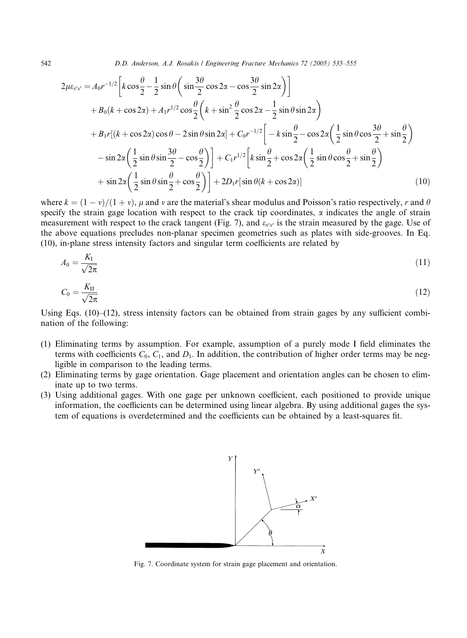542 D.D. Anderson, A.J. Rosakis / Engineering Fracture Mechanics 72 (2005) 535–555

$$
2\mu\varepsilon_{x'x'} = A_0r^{-1/2} \left[ k \cos\frac{\theta}{2} - \frac{1}{2}\sin\theta \left( \sin\frac{3\theta}{2}\cos 2\alpha - \cos\frac{3\theta}{2}\sin 2\alpha \right) \right]
$$
  
+  $B_0(k + \cos 2\alpha) + A_1r^{1/2}\cos\frac{\theta}{2} \left( k + \sin^2\frac{\theta}{2}\cos 2\alpha - \frac{1}{2}\sin\theta\sin 2\alpha \right)$   
+  $B_1r[(k + \cos 2\alpha)\cos\theta - 2\sin\theta\sin 2\alpha] + C_0r^{-1/2} \left[ -k\sin\frac{\theta}{2} - \cos 2\alpha \left( \frac{1}{2}\sin\theta\cos\frac{3\theta}{2} + \sin\frac{\theta}{2} \right) - \sin 2\alpha \left( \frac{1}{2}\sin\theta\sin\frac{3\theta}{2} - \cos\frac{\theta}{2} \right) \right] + C_1r^{1/2} \left[ k\sin\frac{\theta}{2} + \cos 2\alpha \left( \frac{1}{2}\sin\theta\cos\frac{\theta}{2} + \sin\frac{\theta}{2} \right) + \sin 2\alpha \left( \frac{1}{2}\sin\theta\sin\frac{\theta}{2} + \cos\frac{\theta}{2} \right) \right] + 2D_1r[\sin\theta(k + \cos 2\alpha)] \tag{10}$ 

where  $k = (1 - v)/(1 + v)$ ,  $\mu$  and v are the material's shear modulus and Poisson's ratio respectively, r and  $\theta$ specify the strain gage location with respect to the crack tip coordinates,  $\alpha$  indicates the angle of strain measurement with respect to the crack tangent (Fig. 7), and  $\varepsilon_{x,x}$  is the strain measured by the gage. Use of the above equations precludes non-planar specimen geometries such as plates with side-grooves. In Eq. (10), in-plane stress intensity factors and singular term coefficients are related by

$$
A_0 = \frac{K_\mathrm{I}}{\sqrt{2\pi}}\tag{11}
$$

$$
C_0 = \frac{K_{\rm II}}{\sqrt{2\pi}}\tag{12}
$$

Using Eqs.  $(10)$ – $(12)$ , stress intensity factors can be obtained from strain gages by any sufficient combination of the following:

- (1) Eliminating terms by assumption. For example, assumption of a purely mode I field eliminates the terms with coefficients  $C_0$ ,  $C_1$ , and  $D_1$ . In addition, the contribution of higher order terms may be negligible in comparison to the leading terms.
- (2) Eliminating terms by gage orientation. Gage placement and orientation angles can be chosen to eliminate up to two terms.
- (3) Using additional gages. With one gage per unknown coefficient, each positioned to provide unique information, the coefficients can be determined using linear algebra. By using additional gages the system of equations is overdetermined and the coefficients can be obtained by a least-squares fit.



Fig. 7. Coordinate system for strain gage placement and orientation.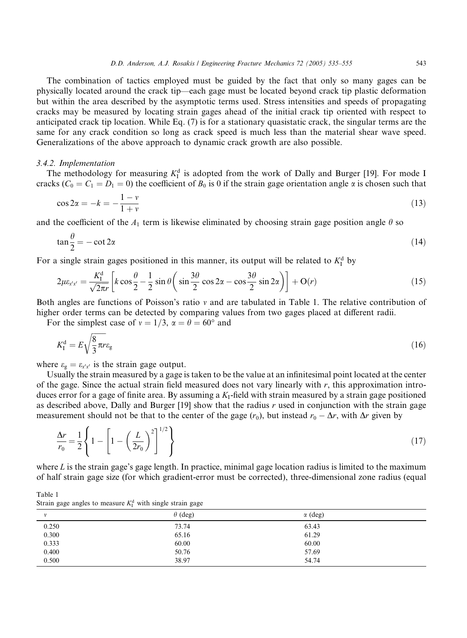The combination of tactics employed must be guided by the fact that only so many gages can be physically located around the crack tip––each gage must be located beyond crack tip plastic deformation but within the area described by the asymptotic terms used. Stress intensities and speeds of propagating cracks may be measured by locating strain gages ahead of the initial crack tip oriented with respect to anticipated crack tip location. While Eq. (7) is for a stationary quasistatic crack, the singular terms are the same for any crack condition so long as crack speed is much less than the material shear wave speed. Generalizations of the above approach to dynamic crack growth are also possible.

#### 3.4.2. Implementation

The methodology for measuring  $K_I^d$  is adopted from the work of Dally and Burger [19]. For mode I cracks ( $C_0 = C_1 = D_1 = 0$ ) the coefficient of  $B_0$  is 0 if the strain gage orientation angle  $\alpha$  is chosen such that

$$
\cos 2\alpha = -k = -\frac{1 - \nu}{1 + \nu} \tag{13}
$$

and the coefficient of the  $A_1$  term is likewise eliminated by choosing strain gage position angle  $\theta$  so

$$
\tan\frac{\theta}{2} = -\cot 2\alpha\tag{14}
$$

For a single strain gages positioned in this manner, its output will be related to  $K_I^d$  by

$$
2\mu\varepsilon_{x'x'} = \frac{K_1^d}{\sqrt{2\pi r}} \left[ k\cos\frac{\theta}{2} - \frac{1}{2}\sin\theta \left( \sin\frac{3\theta}{2}\cos 2\alpha - \cos\frac{3\theta}{2}\sin 2\alpha \right) \right] + O(r) \tag{15}
$$

Both angles are functions of Poisson's ratio v and are tabulated in Table 1. The relative contribution of higher order terms can be detected by comparing values from two gages placed at different radii.

For the simplest case of  $v = 1/3$ ,  $\alpha = \theta = 60^{\circ}$  and

$$
K_{\rm I}^{\rm d} = E \sqrt{\frac{8}{3} \pi r \varepsilon_{\rm g}} \tag{16}
$$

where  $\varepsilon_{g} = \varepsilon_{x'x'}$  is the strain gage output.

Usually the strain measured by a gage is taken to be the value at an infinitesimal point located at the center of the gage. Since the actual strain field measured does not vary linearly with  $r$ , this approximation introduces error for a gage of finite area. By assuming a  $K<sub>I</sub>$ -field with strain measured by a strain gage positioned as described above, Dally and Burger [19] show that the radius r used in conjunction with the strain gage measurement should not be that to the center of the gage  $(r_0)$ , but instead  $r_0 - \Delta r$ , with  $\Delta r$  given by

$$
\frac{\Delta r}{r_0} = \frac{1}{2} \left\{ 1 - \left[ 1 - \left( \frac{L}{2r_0} \right)^2 \right]^{1/2} \right\} \tag{17}
$$

where  $L$  is the strain gage's gage length. In practice, minimal gage location radius is limited to the maximum of half strain gage size (for which gradient-error must be corrected), three-dimensional zone radius (equal

Table 1 Strain gage angles to measure  $K_I^d$  with single strain gage

|              | . .            |                |  |
|--------------|----------------|----------------|--|
| $\mathbf{v}$ | $\theta$ (deg) | $\alpha$ (deg) |  |
| 0.250        | 73.74          | 63.43          |  |
| 0.300        | 65.16          | 61.29          |  |
| 0.333        | 60.00          | 60.00          |  |
| 0.400        | 50.76          | 57.69          |  |
| 0.500        | 38.97          | 54.74          |  |
|              |                |                |  |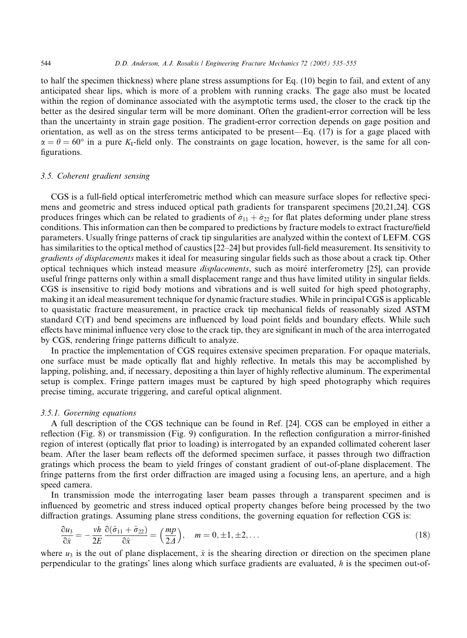to half the specimen thickness) where plane stress assumptions for Eq. (10) begin to fail, and extent of any anticipated shear lips, which is more of a problem with running cracks. The gage also must be located within the region of dominance associated with the asymptotic terms used, the closer to the crack tip the better as the desired singular term will be more dominant. Often the gradient-error correction will be less than the uncertainty in strain gage position. The gradient-error correction depends on gage position and orientation, as well as on the stress terms anticipated to be present––Eq. (17) is for a gage placed with  $\alpha = \theta = 60^{\circ}$  in a pure K<sub>I</sub>-field only. The constraints on gage location, however, is the same for all configurations.

## 3.5. Coherent gradient sensing

CGS is a full-field optical interferometric method which can measure surface slopes for reflective specimens and geometric and stress induced optical path gradients for transparent specimens [20,21,24]. CGS produces fringes which can be related to gradients of  $\hat{\sigma}_{11} + \hat{\sigma}_{22}$  for flat plates deforming under plane stress conditions. This information can then be compared to predictions by fracture models to extract fracture/field parameters. Usually fringe patterns of crack tip singularities are analyzed within the context of LEFM. CGS has similarities to the optical method of caustics [22–24] but provides full-field measurement. Its sensitivity to gradients of displacements makes it ideal for measuring singular fields such as those about a crack tip. Other optical techniques which instead measure displacements, such as moire interferometry [25], can provide useful fringe patterns only within a small displacement range and thus have limited utility in singular fields. CGS is insensitive to rigid body motions and vibrations and is well suited for high speed photography, making it an ideal measurement technique for dynamic fracture studies. While in principal CGS is applicable to quasistatic fracture measurement, in practice crack tip mechanical fields of reasonably sized ASTM standard C(T) and bend specimens are influenced by load point fields and boundary effects. While such effects have minimal influence very close to the crack tip, they are significant in much of the area interrogated by CGS, rendering fringe patterns difficult to analyze.

In practice the implementation of CGS requires extensive specimen preparation. For opaque materials, one surface must be made optically flat and highly reflective. In metals this may be accomplished by lapping, polishing, and, if necessary, depositing a thin layer of highly reflective aluminum. The experimental setup is complex. Fringe pattern images must be captured by high speed photography which requires precise timing, accurate triggering, and careful optical alignment.

# 3.5.1. Governing equations

A full description of the CGS technique can be found in Ref. [24]. CGS can be employed in either a reflection (Fig. 8) or transmission (Fig. 9) configuration. In the reflection configuration a mirror-finished region of interest (optically flat prior to loading) is interrogated by an expanded collimated coherent laser beam. After the laser beam reflects off the deformed specimen surface, it passes through two diffraction gratings which process the beam to yield fringes of constant gradient of out-of-plane displacement. The fringe patterns from the first order diffraction are imaged using a focusing lens, an aperture, and a high speed camera.

In transmission mode the interrogating laser beam passes through a transparent specimen and is influenced by geometric and stress induced optical property changes before being processed by the two diffraction gratings. Assuming plane stress conditions, the governing equation for reflection CGS is:

$$
\frac{\partial u_3}{\partial \hat{x}} = -\frac{vh}{2E} \frac{\partial (\hat{\sigma}_{11} + \hat{\sigma}_{22})}{\partial \hat{x}} = \left(\frac{mp}{2\Delta}\right), \quad m = 0, \pm 1, \pm 2, \dots
$$
\n(18)

where  $u_3$  is the out of plane displacement,  $\hat{x}$  is the shearing direction or direction on the specimen plane perpendicular to the gratings' lines along which surface gradients are evaluated, h is the specimen out-of-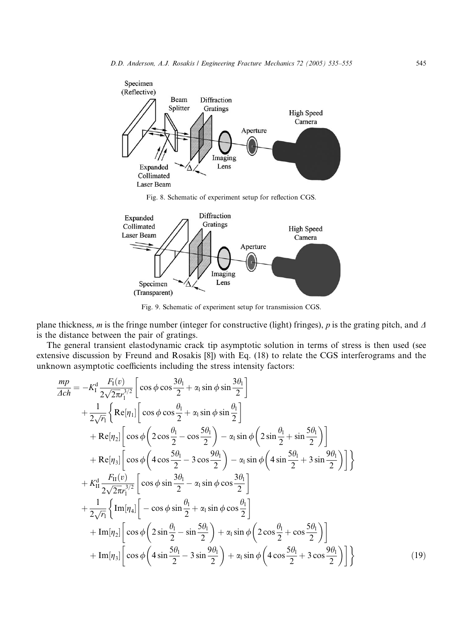

Fig. 8. Schematic of experiment setup for reflection CGS.



Fig. 9. Schematic of experiment setup for transmission CGS.

plane thickness, m is the fringe number (integer for constructive (light) fringes), p is the grating pitch, and  $\Delta$ is the distance between the pair of gratings.

The general transient elastodynamic crack tip asymptotic solution in terms of stress is then used (see extensive discussion by Freund and Rosakis [8]) with Eq. (18) to relate the CGS interferograms and the unknown asymptotic coefficients including the stress intensity factors:

$$
\frac{mp}{4ch} = -K_1^d \frac{F_1(v)}{2\sqrt{2\pi}r_1^{3/2}} \left[ \cos \phi \cos \frac{3\theta_1}{2} + \alpha_1 \sin \phi \sin \frac{3\theta_1}{2} \right]
$$
  
+  $\frac{1}{2\sqrt{r_1}} \left\{ \text{Re}[\eta_1] \left[ \cos \phi \cos \frac{\theta_1}{2} + \alpha_1 \sin \phi \sin \frac{\theta_1}{2} \right] + \text{Re}[\eta_2] \left[ \cos \phi \left( 2 \cos \frac{\theta_1}{2} - \cos \frac{5\theta_1}{2} \right) - \alpha_1 \sin \phi \left( 2 \sin \frac{\theta_1}{2} + \sin \frac{5\theta_1}{2} \right) \right] + \text{Re}[\eta_3] \left[ \cos \phi \left( 4 \cos \frac{5\theta_1}{2} - 3 \cos \frac{9\theta_1}{2} \right) - \alpha_1 \sin \phi \left( 4 \sin \frac{5\theta_1}{2} + 3 \sin \frac{9\theta_1}{2} \right) \right] \right\} \n+ K_{11}^d \frac{F_{11}(v)}{2\sqrt{2\pi}r_1^{3/2}} \left[ \cos \phi \sin \frac{3\theta_1}{2} - \alpha_1 \sin \phi \cos \frac{3\theta_1}{2} \right] \n+ \frac{1}{2\sqrt{r_1}} \left\{ \text{Im}[\eta_4] \left[ -\cos \phi \sin \frac{\theta_1}{2} + \alpha_1 \sin \phi \cos \frac{\theta_1}{2} \right] + \text{Im}[\eta_2] \left[ \cos \phi \left( 2 \sin \frac{\theta_1}{2} - \sin \frac{5\theta_1}{2} \right) + \alpha_1 \sin \phi \left( 2 \cos \frac{\theta_1}{2} + \cos \frac{5\theta_1}{2} \right) \right] + \text{Im}[\eta_3] \left[ \cos \phi \left( 4 \sin \frac{5\theta_1}{2} - 3 \sin \frac{9\theta_1}{2} \right) + \alpha_1 \sin \phi \left( 4 \cos \frac{5\theta_1}{2} + 3 \cos \frac{9\theta_1}{2} \right) \right\}$ (19)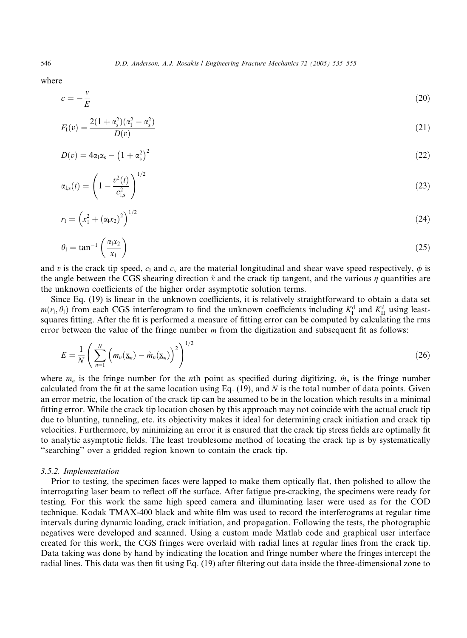where

$$
c = -\frac{v}{E} \tag{20}
$$

$$
F_1(v) = \frac{2(1 + \alpha_s^2)(\alpha_1^2 - \alpha_s^2)}{D(v)}
$$
\n(21)

$$
D(v) = 4\alpha_1\alpha_s - \left(1 + \alpha_s^2\right)^2 \tag{22}
$$

$$
\alpha_{l,s}(t) = \left(1 - \frac{v^2(t)}{c_{l,s}^2}\right)^{1/2} \tag{23}
$$

$$
r_1 = \left(x_1^2 + (\alpha_1 x_2)^2\right)^{1/2} \tag{24}
$$

$$
\theta_1 = \tan^{-1}\left(\frac{\alpha_1 x_2}{x_1}\right) \tag{25}
$$

and v is the crack tip speed,  $c_1$  and  $c_y$  are the material longitudinal and shear wave speed respectively,  $\phi$  is the angle between the CGS shearing direction  $\hat{x}$  and the crack tip tangent, and the various  $\eta$  quantities are the unknown coefficients of the higher order asymptotic solution terms.

Since Eq. (19) is linear in the unknown coefficients, it is relatively straightforward to obtain a data set  $m(r_1, \theta_1)$  from each CGS interferogram to find the unknown coefficients including  $K_I^d$  and  $K_{II}^d$  using leastsquares fitting. After the fit is performed a measure of fitting error can be computed by calculating the rms error between the value of the fringe number  $m$  from the digitization and subsequent fit as follows:

$$
E = \frac{1}{N} \left( \sum_{n=1}^{N} \left( m_n(\underline{\mathbf{x}}_n) - \hat{m}_n(\underline{\mathbf{x}}_n) \right)^2 \right)^{1/2} \tag{26}
$$

where  $m_n$  is the fringe number for the *n*th point as specified during digitizing,  $\hat{m}_n$  is the fringe number calculated from the fit at the same location using Eq. (19), and N is the total number of data points. Given an error metric, the location of the crack tip can be assumed to be in the location which results in a minimal fitting error. While the crack tip location chosen by this approach may not coincide with the actual crack tip due to blunting, tunneling, etc. its objectivity makes it ideal for determining crack initiation and crack tip velocities. Furthermore, by minimizing an error it is ensured that the crack tip stress fields are optimally fit to analytic asymptotic fields. The least troublesome method of locating the crack tip is by systematically ''searching'' over a gridded region known to contain the crack tip.

#### 3.5.2. Implementation

Prior to testing, the specimen faces were lapped to make them optically flat, then polished to allow the interrogating laser beam to reflect off the surface. After fatigue pre-cracking, the specimens were ready for testing. For this work the same high speed camera and illuminating laser were used as for the COD technique. Kodak TMAX-400 black and white film was used to record the interferograms at regular time intervals during dynamic loading, crack initiation, and propagation. Following the tests, the photographic negatives were developed and scanned. Using a custom made Matlab code and graphical user interface created for this work, the CGS fringes were overlaid with radial lines at regular lines from the crack tip. Data taking was done by hand by indicating the location and fringe number where the fringes intercept the radial lines. This data was then fit using Eq. (19) after filtering out data inside the three-dimensional zone to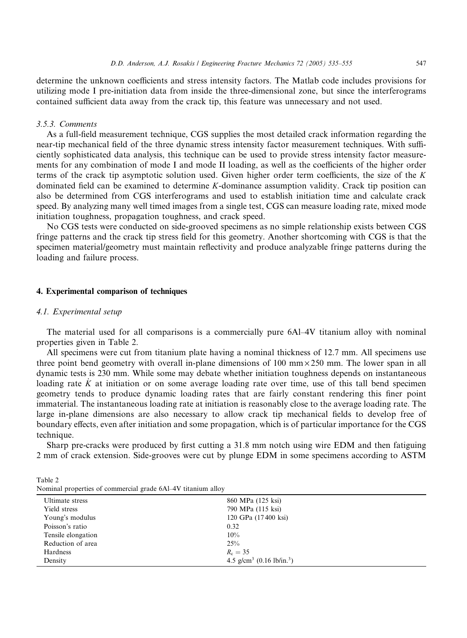determine the unknown coefficients and stress intensity factors. The Matlab code includes provisions for utilizing mode I pre-initiation data from inside the three-dimensional zone, but since the interferograms contained sufficient data away from the crack tip, this feature was unnecessary and not used.

#### 3.5.3. Comments

As a full-field measurement technique, CGS supplies the most detailed crack information regarding the near-tip mechanical field of the three dynamic stress intensity factor measurement techniques. With sufficiently sophisticated data analysis, this technique can be used to provide stress intensity factor measurements for any combination of mode I and mode II loading, as well as the coefficients of the higher order terms of the crack tip asymptotic solution used. Given higher order term coefficients, the size of the  $K$ dominated field can be examined to determine K-dominance assumption validity. Crack tip position can also be determined from CGS interferograms and used to establish initiation time and calculate crack speed. By analyzing many well timed images from a single test, CGS can measure loading rate, mixed mode initiation toughness, propagation toughness, and crack speed.

No CGS tests were conducted on side-grooved specimens as no simple relationship exists between CGS fringe patterns and the crack tip stress field for this geometry. Another shortcoming with CGS is that the specimen material/geometry must maintain reflectivity and produce analyzable fringe patterns during the loading and failure process.

## 4. Experimental comparison of techniques

#### 4.1. Experimental setup

The material used for all comparisons is a commercially pure 6Al–4V titanium alloy with nominal properties given in Table 2.

All specimens were cut from titanium plate having a nominal thickness of 12.7 mm. All specimens use three point bend geometry with overall in-plane dimensions of 100 mm $\times$ 250 mm. The lower span in all dynamic tests is 230 mm. While some may debate whether initiation toughness depends on instantaneous loading rate  $\dot{K}$  at initiation or on some average loading rate over time, use of this tall bend specimen geometry tends to produce dynamic loading rates that are fairly constant rendering this finer point immaterial. The instantaneous loading rate at initiation is reasonably close to the average loading rate. The large in-plane dimensions are also necessary to allow crack tip mechanical fields to develop free of boundary effects, even after initiation and some propagation, which is of particular importance for the CGS technique.

Sharp pre-cracks were produced by first cutting a 31.8 mm notch using wire EDM and then fatiguing 2 mm of crack extension. Side-grooves were cut by plunge EDM in some specimens according to ASTM

Table 2 Nominal properties of commercial grade 6Al–4V titanium alloy

| Ultimate stress    | 860 MPa (125 ksi)                                 |  |
|--------------------|---------------------------------------------------|--|
| Yield stress       | 790 MPa (115 ksi)                                 |  |
| Young's modulus    | 120 GPa (17400 ksi)                               |  |
| Poisson's ratio    | 0.32                                              |  |
| Tensile elongation | 10%                                               |  |
| Reduction of area  | 25%                                               |  |
| Hardness           | $R_{\rm c} = 35$                                  |  |
| Density            | 4.5 g/cm <sup>3</sup> (0.16 lb/in. <sup>3</sup> ) |  |
|                    |                                                   |  |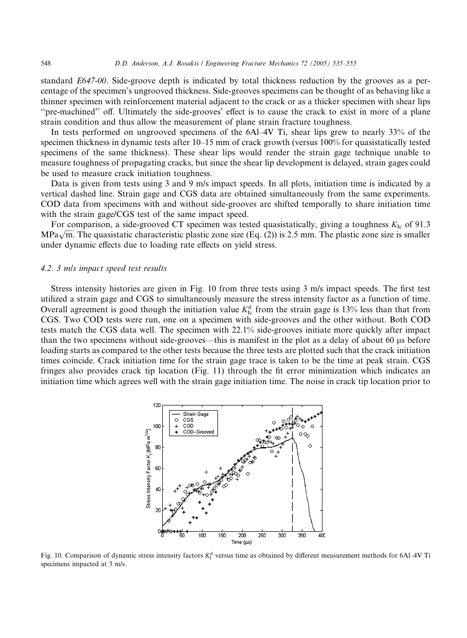standard E647-00. Side-groove depth is indicated by total thickness reduction by the grooves as a percentage of the specimen's ungrooved thickness. Side-grooves specimens can be thought of as behaving like a thinner specimen with reinforcement material adjacent to the crack or as a thicker specimen with shear lips ''pre-machined'' off. Ultimately the side-grooves' effect is to cause the crack to exist in more of a plane strain condition and thus allow the measurement of plane strain fracture toughness.

In tests performed on ungrooved specimens of the 6Al–4V Ti, shear lips grew to nearly 33% of the specimen thickness in dynamic tests after 10–15 mm of crack growth (versus 100% for quasistatically tested specimens of the same thickness). These shear lips would render the strain gage technique unable to measure toughness of propagating cracks, but since the shear lip development is delayed, strain gages could be used to measure crack initiation toughness.

Data is given from tests using 3 and 9 m/s impact speeds. In all plots, initiation time is indicated by a vertical dashed line. Strain gage and CGS data are obtained simultaneously from the same experiments. COD data from specimens with and without side-grooves are shifted temporally to share initiation time with the strain gage/CGS test of the same impact speed.

For comparison, a side-grooved CT specimen was tested quasistatically, giving a toughness  $K_{\text{Ic}}$  of 91.3 For comparison, a side-grooved CT specimen was tested quasistatically, giving a toughness  $K_{Ic}$  or 91.5 MPa $\sqrt{m}$ . The quasistatic characteristic plastic zone size (Eq. (2)) is 2.5 mm. The plastic zone size is smaller under dynamic effects due to loading rate effects on yield stress.

## 4.2. 3 mls impact speed test results

Stress intensity histories are given in Fig. 10 from three tests using 3 m/s impact speeds. The first test utilized a strain gage and CGS to simultaneously measure the stress intensity factor as a function of time. Overall agreement is good though the initiation value  $K_{\text{Ic}}^{\text{d}}$  from the strain gage is 13% less than that from CGS. Two COD tests were run, one on a specimen with side-grooves and the other without. Both COD tests match the CGS data well. The specimen with 22.1% side-grooves initiate more quickly after impact than the two specimens without side-grooves—this is manifest in the plot as a delay of about 60 µs before loading starts as compared to the other tests because the three tests are plotted such that the crack initiation times coincide. Crack initiation time for the strain gage trace is taken to be the time at peak strain. CGS fringes also provides crack tip location (Fig. 11) through the fit error minimization which indicates an initiation time which agrees well with the strain gage initiation time. The noise in crack tip location prior to



Fig. 10. Comparison of dynamic stress intensity factors  $K_I^d$  versus time as obtained by different measurement methods for 6Al–4V Ti specimens impacted at 3 m/s.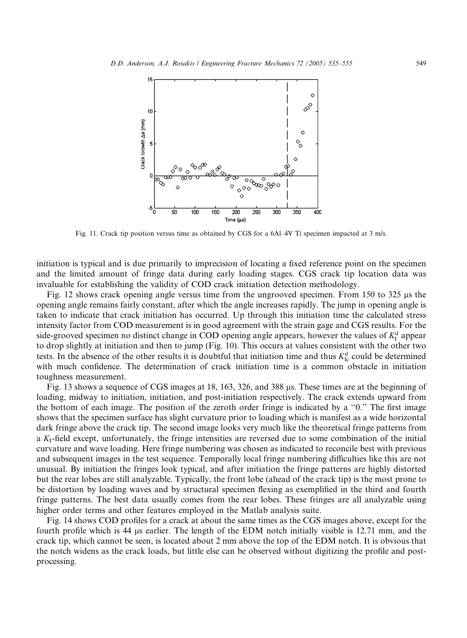

Fig. 11. Crack tip position versus time as obtained by CGS for a 6Al–4V Ti specimen impacted at 3 m/s.

initiation is typical and is due primarily to imprecision of locating a fixed reference point on the specimen and the limited amount of fringe data during early loading stages. CGS crack tip location data was invaluable for establishing the validity of COD crack initiation detection methodology.

Fig. 12 shows crack opening angle versus time from the ungrooved specimen. From 150 to 325  $\mu$ s the opening angle remains fairly constant, after which the angle increases rapidly. The jump in opening angle is taken to indicate that crack initiation has occurred. Up through this initiation time the calculated stress intensity factor from COD measurement is in good agreement with the strain gage and CGS results. For the side-grooved specimen no distinct change in COD opening angle appears, however the values of  $K_I^d$  appear to drop slightly at initiation and then to jump (Fig. 10). This occurs at values consistent with the other two tests. In the absence of the other results it is doubtful that initiation time and thus  $K_{\text{lc}}^{\text{d}}$  could be determined with much confidence. The determination of crack initiation time is a common obstacle in initiation toughness measurement.

Fig. 13 shows a sequence of CGS images at 18, 163, 326, and 388 ls. These times are at the beginning of loading, midway to initiation, initiation, and post-initiation respectively. The crack extends upward from the bottom of each image. The position of the zeroth order fringe is indicated by a ''0.'' The first image shows that the specimen surface has slight curvature prior to loading which is manifest as a wide horizontal dark fringe above the crack tip. The second image looks very much like the theoretical fringe patterns from a  $K_1$ -field except, unfortunately, the fringe intensities are reversed due to some combination of the initial curvature and wave loading. Here fringe numbering was chosen as indicated to reconcile best with previous and subsequent images in the test sequence. Temporally local fringe numbering difficulties like this are not unusual. By initiation the fringes look typical, and after initiation the fringe patterns are highly distorted but the rear lobes are still analyzable. Typically, the front lobe (ahead of the crack tip) is the most prone to be distortion by loading waves and by structural specimen flexing as exemplified in the third and fourth fringe patterns. The best data usually comes from the rear lobes. These fringes are all analyzable using higher order terms and other features employed in the Matlab analysis suite.

Fig. 14 shows COD profiles for a crack at about the same times as the CGS images above, except for the fourth profile which is 44 ls earlier. The length of the EDM notch initially visible is 12.71 mm, and the crack tip, which cannot be seen, is located about 2 mm above the top of the EDM notch. It is obvious that the notch widens as the crack loads, but little else can be observed without digitizing the profile and postprocessing.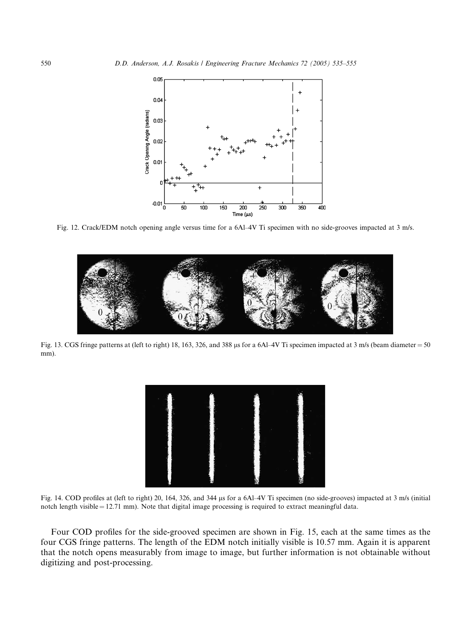

Fig. 12. Crack/EDM notch opening angle versus time for a 6Al–4V Ti specimen with no side-grooves impacted at 3 m/s.



Fig. 13. CGS fringe patterns at (left to right) 18, 163, 326, and 388 µs for a 6Al–4V Ti specimen impacted at 3 m/s (beam diameter =  $50$ mm).



Fig. 14. COD profiles at (left to right) 20, 164, 326, and 344 ls for a 6Al–4V Ti specimen (no side-grooves) impacted at 3 m/s (initial notch length visible  $= 12.71$  mm). Note that digital image processing is required to extract meaningful data.

Four COD profiles for the side-grooved specimen are shown in Fig. 15, each at the same times as the four CGS fringe patterns. The length of the EDM notch initially visible is 10.57 mm. Again it is apparent that the notch opens measurably from image to image, but further information is not obtainable without digitizing and post-processing.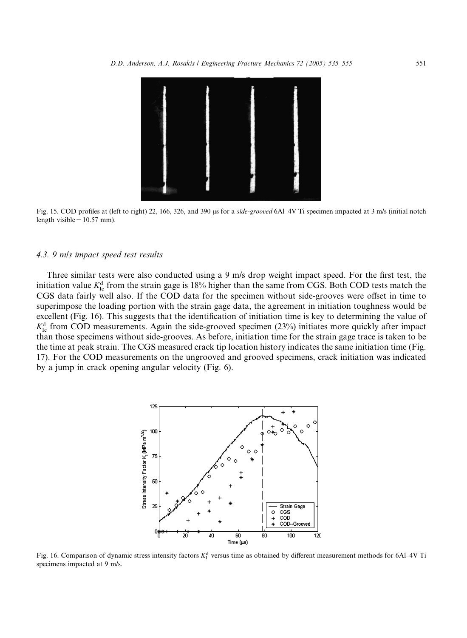

Fig. 15. COD profiles at (left to right) 22, 166, 326, and 390 us for a side-grooved 6Al–4V Ti specimen impacted at 3 m/s (initial notch length visible  $= 10.57$  mm).

## 4.3. 9 mls impact speed test results

Three similar tests were also conducted using a 9 m/s drop weight impact speed. For the first test, the initiation value  $K_{\text{Ic}}^{\text{d}}$  from the strain gage is 18% higher than the same from CGS. Both COD tests match the CGS data fairly well also. If the COD data for the specimen without side-grooves were offset in time to superimpose the loading portion with the strain gage data, the agreement in initiation toughness would be excellent (Fig. 16). This suggests that the identification of initiation time is key to determining the value of  $K_{\text{Ic}}^{\text{d}}$  from COD measurements. Again the side-grooved specimen (23%) initiates more quickly after impact than those specimens without side-grooves. As before, initiation time for the strain gage trace is taken to be the time at peak strain. The CGS measured crack tip location history indicates the same initiation time (Fig. 17). For the COD measurements on the ungrooved and grooved specimens, crack initiation was indicated by a jump in crack opening angular velocity (Fig. 6).



Fig. 16. Comparison of dynamic stress intensity factors  $K_I^d$  versus time as obtained by different measurement methods for 6Al–4V Ti specimens impacted at 9 m/s.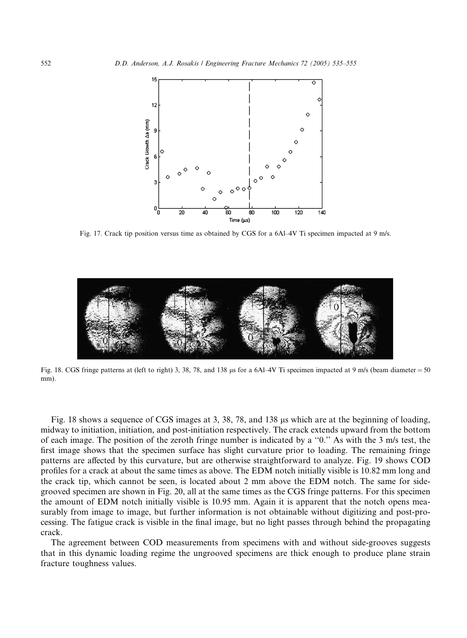

Fig. 17. Crack tip position versus time as obtained by CGS for a 6Al–4V Ti specimen impacted at 9 m/s.



Fig. 18. CGS fringe patterns at (left to right) 3, 38, 78, and 138 µs for a 6Al–4V Ti specimen impacted at 9 m/s (beam diameter =  $50$ mm).

Fig. 18 shows a sequence of CGS images at 3, 38, 78, and 138 us which are at the beginning of loading, midway to initiation, initiation, and post-initiation respectively. The crack extends upward from the bottom of each image. The position of the zeroth fringe number is indicated by a ''0.'' As with the 3 m/s test, the first image shows that the specimen surface has slight curvature prior to loading. The remaining fringe patterns are affected by this curvature, but are otherwise straightforward to analyze. Fig. 19 shows COD profiles for a crack at about the same times as above. The EDM notch initially visible is 10.82 mm long and the crack tip, which cannot be seen, is located about 2 mm above the EDM notch. The same for sidegrooved specimen are shown in Fig. 20, all at the same times as the CGS fringe patterns. For this specimen the amount of EDM notch initially visible is 10.95 mm. Again it is apparent that the notch opens measurably from image to image, but further information is not obtainable without digitizing and post-processing. The fatigue crack is visible in the final image, but no light passes through behind the propagating crack.

The agreement between COD measurements from specimens with and without side-grooves suggests that in this dynamic loading regime the ungrooved specimens are thick enough to produce plane strain fracture toughness values.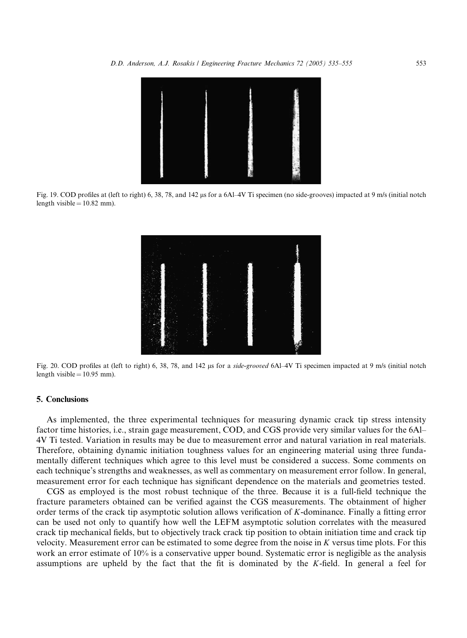

Fig. 19. COD profiles at (left to right) 6, 38, 78, and 142 µs for a 6Al–4V Ti specimen (no side-grooves) impacted at 9 m/s (initial notch length visible  $= 10.82$  mm).



Fig. 20. COD profiles at (left to right) 6, 38, 78, and 142 us for a side-grooved 6Al–4V Ti specimen impacted at 9 m/s (initial notch length visible  $= 10.95$  mm).

## 5. Conclusions

As implemented, the three experimental techniques for measuring dynamic crack tip stress intensity factor time histories, i.e., strain gage measurement, COD, and CGS provide very similar values for the 6Al– 4V Ti tested. Variation in results may be due to measurement error and natural variation in real materials. Therefore, obtaining dynamic initiation toughness values for an engineering material using three fundamentally different techniques which agree to this level must be considered a success. Some comments on each technique's strengths and weaknesses, as well as commentary on measurement error follow. In general, measurement error for each technique has significant dependence on the materials and geometries tested.

CGS as employed is the most robust technique of the three. Because it is a full-field technique the fracture parameters obtained can be verified against the CGS measurements. The obtainment of higher order terms of the crack tip asymptotic solution allows verification of K-dominance. Finally a fitting error can be used not only to quantify how well the LEFM asymptotic solution correlates with the measured crack tip mechanical fields, but to objectively track crack tip position to obtain initiation time and crack tip velocity. Measurement error can be estimated to some degree from the noise in  $K$  versus time plots. For this work an error estimate of 10% is a conservative upper bound. Systematic error is negligible as the analysis assumptions are upheld by the fact that the fit is dominated by the K-field. In general a feel for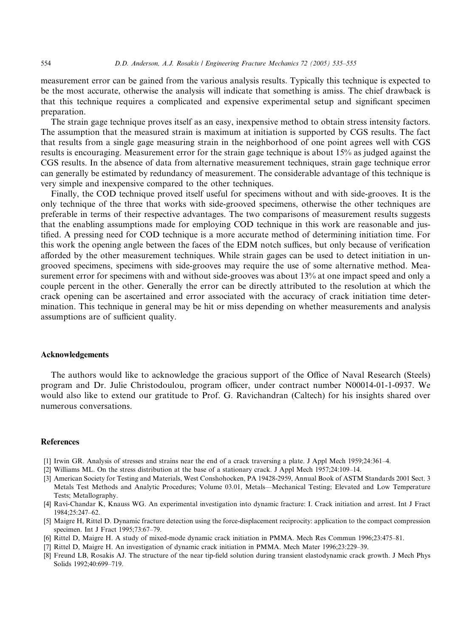measurement error can be gained from the various analysis results. Typically this technique is expected to be the most accurate, otherwise the analysis will indicate that something is amiss. The chief drawback is that this technique requires a complicated and expensive experimental setup and significant specimen preparation.

The strain gage technique proves itself as an easy, inexpensive method to obtain stress intensity factors. The assumption that the measured strain is maximum at initiation is supported by CGS results. The fact that results from a single gage measuring strain in the neighborhood of one point agrees well with CGS results is encouraging. Measurement error for the strain gage technique is about 15% as judged against the CGS results. In the absence of data from alternative measurement techniques, strain gage technique error can generally be estimated by redundancy of measurement. The considerable advantage of this technique is very simple and inexpensive compared to the other techniques.

Finally, the COD technique proved itself useful for specimens without and with side-grooves. It is the only technique of the three that works with side-grooved specimens, otherwise the other techniques are preferable in terms of their respective advantages. The two comparisons of measurement results suggests that the enabling assumptions made for employing COD technique in this work are reasonable and justified. A pressing need for COD technique is a more accurate method of determining initiation time. For this work the opening angle between the faces of the EDM notch suffices, but only because of verification afforded by the other measurement techniques. While strain gages can be used to detect initiation in ungrooved specimens, specimens with side-grooves may require the use of some alternative method. Measurement error for specimens with and without side-grooves was about 13% at one impact speed and only a couple percent in the other. Generally the error can be directly attributed to the resolution at which the crack opening can be ascertained and error associated with the accuracy of crack initiation time determination. This technique in general may be hit or miss depending on whether measurements and analysis assumptions are of sufficient quality.

## Acknowledgements

The authors would like to acknowledge the gracious support of the Office of Naval Research (Steels) program and Dr. Julie Christodoulou, program officer, under contract number N00014-01-1-0937. We would also like to extend our gratitude to Prof. G. Ravichandran (Caltech) for his insights shared over numerous conversations.

#### References

- [1] Irwin GR. Analysis of stresses and strains near the end of a crack traversing a plate. J Appl Mech 1959;24:361–4.
- [2] Williams ML. On the stress distribution at the base of a stationary crack. J Appl Mech 1957;24:109–14.
- [3] American Society for Testing and Materials, West Conshohocken, PA 19428-2959, Annual Book of ASTM Standards 2001 Sect. 3 Metals Test Methods and Analytic Procedures; Volume 03.01, Metals––Mechanical Testing; Elevated and Low Temperature Tests; Metallography.
- [4] Ravi-Chandar K, Knauss WG. An experimental investigation into dynamic fracture: I. Crack initiation and arrest. Int J Fract 1984;25:247–62.
- [5] Maigre H, Rittel D. Dynamic fracture detection using the force-displacement reciprocity: application to the compact compression specimen. Int J Fract 1995;73:67–79.
- [6] Rittel D, Maigre H. A study of mixed-mode dynamic crack initiation in PMMA. Mech Res Commun 1996;23:475–81.
- [7] Rittel D, Maigre H. An investigation of dynamic crack initiation in PMMA. Mech Mater 1996;23:229–39.
- [8] Freund LB, Rosakis AJ. The structure of the near tip-field solution during transient elastodynamic crack growth. J Mech Phys Solids 1992;40:699–719.